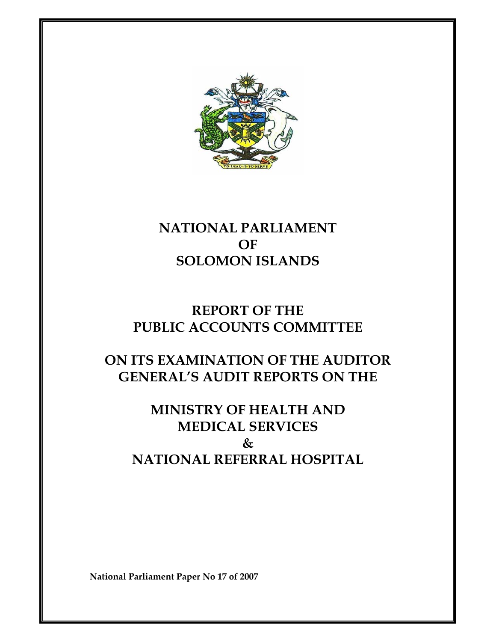

# **NATIONAL PARLIAMENT OF SOLOMON ISLANDS**

# **REPORT OF THE PUBLIC ACCOUNTS COMMITTEE**

# **ON ITS EXAMINATION OF THE AUDITOR GENERAL'S AUDIT REPORTS ON THE**

# **MINISTRY OF HEALTH AND MEDICAL SERVICES & NATIONAL REFERRAL HOSPITAL**

**National Parliament Paper No 17 of 2007**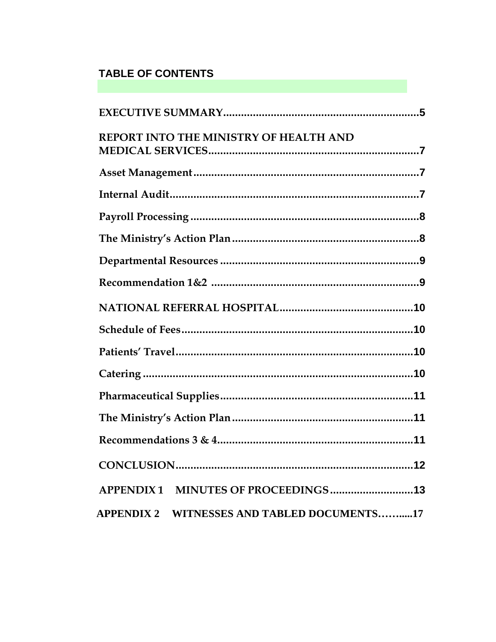# **TABLE OF CONTENTS**

| REPORT INTO THE MINISTRY OF HEALTH AND      |  |
|---------------------------------------------|--|
|                                             |  |
|                                             |  |
|                                             |  |
|                                             |  |
|                                             |  |
|                                             |  |
|                                             |  |
|                                             |  |
|                                             |  |
|                                             |  |
|                                             |  |
|                                             |  |
|                                             |  |
|                                             |  |
| APPENDIX 1 MINUTES OF PROCEEDINGS 13        |  |
| APPENDIX 2 WITNESSES AND TABLED DOCUMENTS17 |  |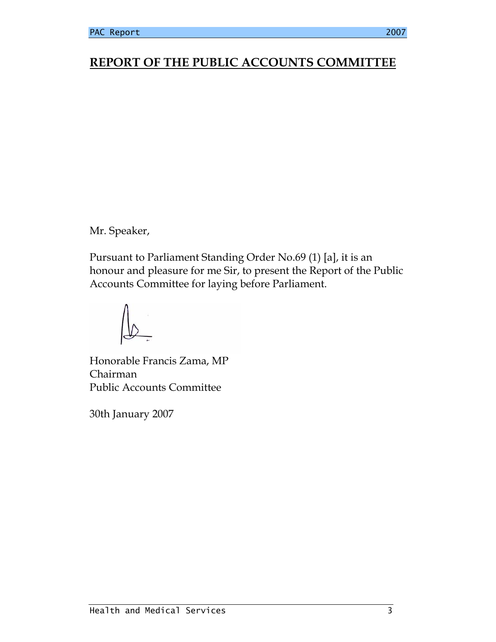# **REPORT OF THE PUBLIC ACCOUNTS COMMITTEE**

Mr. Speaker,

Pursuant to Parliament Standing Order No.69 (1) [a], it is an honour and pleasure for me Sir, to present the Report of the Public Accounts Committee for laying before Parliament.

Honorable Francis Zama, MP Chairman Public Accounts Committee

30th January 2007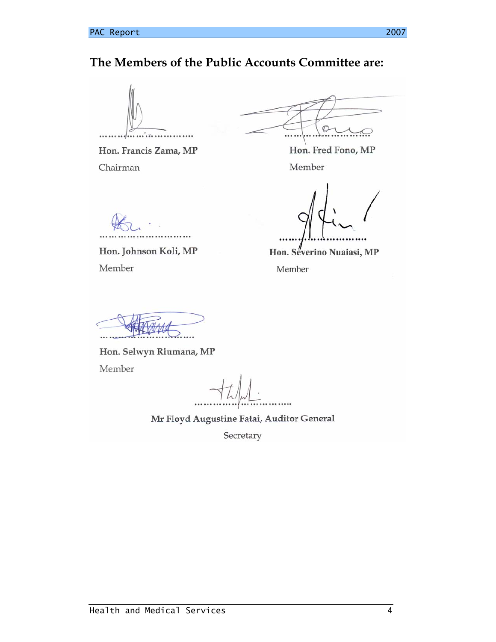## **The Members of the Public Accounts Committee are:**



Hon. Francis Zama, MP Chairman

 $\mathcal{O}$ 

Hon. Fred Fono, MP Member

Hon. Johnson Koli, MP Member

Hon. Severino Nuaiasi, MP

Member

Hon. Selwyn Riumana, MP Member

Mr Floyd Augustine Fatai, Auditor General

Secretary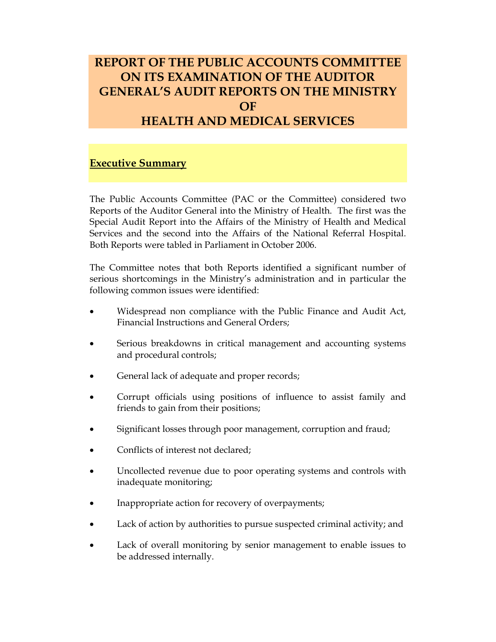# **REPORT OF THE PUBLIC ACCOUNTS COMMITTEE ON ITS EXAMINATION OF THE AUDITOR GENERAL'S AUDIT REPORTS ON THE MINISTRY OF HEALTH AND MEDICAL SERVICES**

### **Executive Summary**

The Public Accounts Committee (PAC or the Committee) considered two Reports of the Auditor General into the Ministry of Health. The first was the Special Audit Report into the Affairs of the Ministry of Health and Medical Services and the second into the Affairs of the National Referral Hospital. Both Reports were tabled in Parliament in October 2006.

The Committee notes that both Reports identified a significant number of serious shortcomings in the Ministry's administration and in particular the following common issues were identified:

- Widespread non compliance with the Public Finance and Audit Act, Financial Instructions and General Orders;
- Serious breakdowns in critical management and accounting systems and procedural controls;
- General lack of adequate and proper records;
- Corrupt officials using positions of influence to assist family and friends to gain from their positions;
- Significant losses through poor management, corruption and fraud;
- Conflicts of interest not declared;
- Uncollected revenue due to poor operating systems and controls with inadequate monitoring;
- Inappropriate action for recovery of overpayments;
- Lack of action by authorities to pursue suspected criminal activity; and
- Lack of overall monitoring by senior management to enable issues to be addressed internally.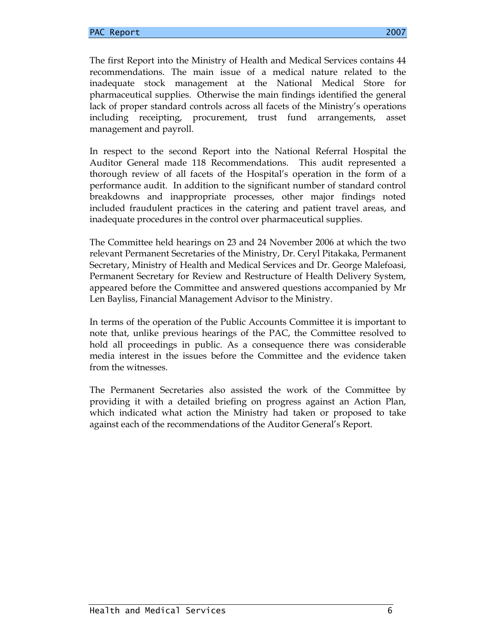The first Report into the Ministry of Health and Medical Services contains 44 recommendations. The main issue of a medical nature related to the inadequate stock management at the National Medical Store for pharmaceutical supplies. Otherwise the main findings identified the general lack of proper standard controls across all facets of the Ministry's operations including receipting, procurement, trust fund arrangements, asset management and payroll.

In respect to the second Report into the National Referral Hospital the Auditor General made 118 Recommendations. This audit represented a thorough review of all facets of the Hospital's operation in the form of a performance audit. In addition to the significant number of standard control breakdowns and inappropriate processes, other major findings noted included fraudulent practices in the catering and patient travel areas, and inadequate procedures in the control over pharmaceutical supplies.

The Committee held hearings on 23 and 24 November 2006 at which the two relevant Permanent Secretaries of the Ministry, Dr. Ceryl Pitakaka, Permanent Secretary, Ministry of Health and Medical Services and Dr. George Malefoasi, Permanent Secretary for Review and Restructure of Health Delivery System, appeared before the Committee and answered questions accompanied by Mr Len Bayliss, Financial Management Advisor to the Ministry.

In terms of the operation of the Public Accounts Committee it is important to note that, unlike previous hearings of the PAC, the Committee resolved to hold all proceedings in public. As a consequence there was considerable media interest in the issues before the Committee and the evidence taken from the witnesses.

The Permanent Secretaries also assisted the work of the Committee by providing it with a detailed briefing on progress against an Action Plan, which indicated what action the Ministry had taken or proposed to take against each of the recommendations of the Auditor General's Report.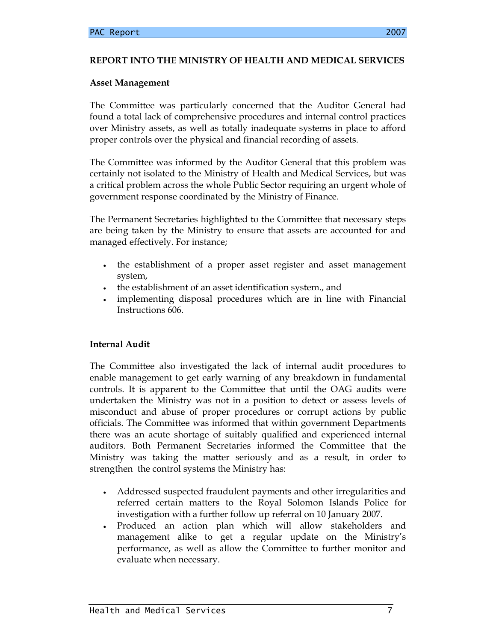### **REPORT INTO THE MINISTRY OF HEALTH AND MEDICAL SERVICES**

### **Asset Management**

The Committee was particularly concerned that the Auditor General had found a total lack of comprehensive procedures and internal control practices over Ministry assets, as well as totally inadequate systems in place to afford proper controls over the physical and financial recording of assets.

The Committee was informed by the Auditor General that this problem was certainly not isolated to the Ministry of Health and Medical Services, but was a critical problem across the whole Public Sector requiring an urgent whole of government response coordinated by the Ministry of Finance.

The Permanent Secretaries highlighted to the Committee that necessary steps are being taken by the Ministry to ensure that assets are accounted for and managed effectively. For instance;

- the establishment of a proper asset register and asset management system,
- the establishment of an asset identification system., and
- implementing disposal procedures which are in line with Financial Instructions 606.

### **Internal Audit**

The Committee also investigated the lack of internal audit procedures to enable management to get early warning of any breakdown in fundamental controls. It is apparent to the Committee that until the OAG audits were undertaken the Ministry was not in a position to detect or assess levels of misconduct and abuse of proper procedures or corrupt actions by public officials. The Committee was informed that within government Departments there was an acute shortage of suitably qualified and experienced internal auditors. Both Permanent Secretaries informed the Committee that the Ministry was taking the matter seriously and as a result, in order to strengthen the control systems the Ministry has:

- Addressed suspected fraudulent payments and other irregularities and referred certain matters to the Royal Solomon Islands Police for investigation with a further follow up referral on 10 January 2007.
- Produced an action plan which will allow stakeholders and management alike to get a regular update on the Ministry's performance, as well as allow the Committee to further monitor and evaluate when necessary.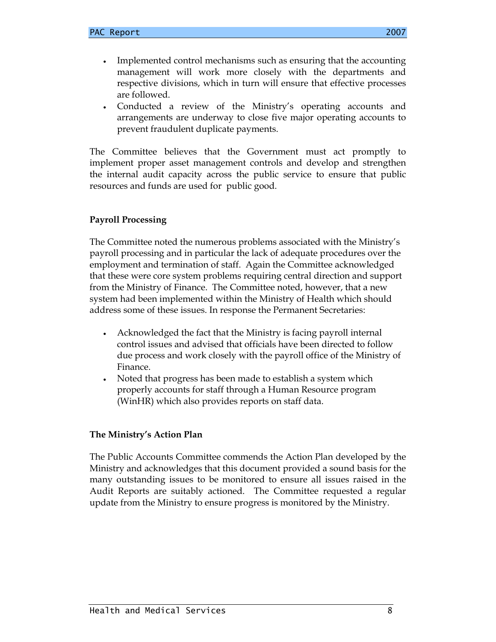- Implemented control mechanisms such as ensuring that the accounting management will work more closely with the departments and respective divisions, which in turn will ensure that effective processes are followed.
- Conducted a review of the Ministry's operating accounts and arrangements are underway to close five major operating accounts to prevent fraudulent duplicate payments.

The Committee believes that the Government must act promptly to implement proper asset management controls and develop and strengthen the internal audit capacity across the public service to ensure that public resources and funds are used for public good.

### **Payroll Processing**

The Committee noted the numerous problems associated with the Ministry's payroll processing and in particular the lack of adequate procedures over the employment and termination of staff. Again the Committee acknowledged that these were core system problems requiring central direction and support from the Ministry of Finance. The Committee noted, however, that a new system had been implemented within the Ministry of Health which should address some of these issues. In response the Permanent Secretaries:

- Acknowledged the fact that the Ministry is facing payroll internal control issues and advised that officials have been directed to follow due process and work closely with the payroll office of the Ministry of Finance.
- Noted that progress has been made to establish a system which properly accounts for staff through a Human Resource program (WinHR) which also provides reports on staff data.

### **The Ministry's Action Plan**

The Public Accounts Committee commends the Action Plan developed by the Ministry and acknowledges that this document provided a sound basis for the many outstanding issues to be monitored to ensure all issues raised in the Audit Reports are suitably actioned. The Committee requested a regular update from the Ministry to ensure progress is monitored by the Ministry.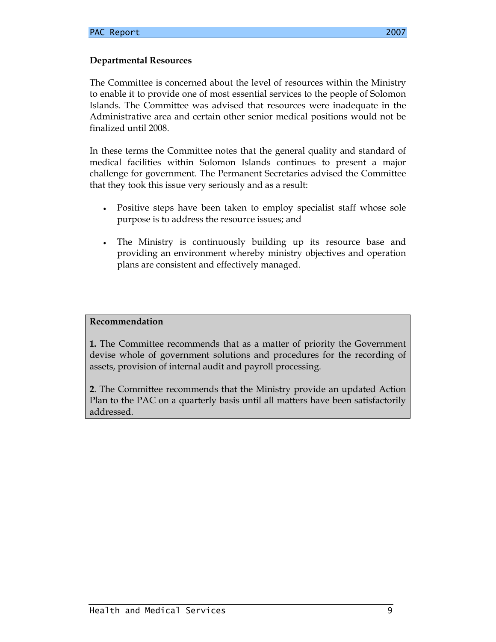### **Departmental Resources**

The Committee is concerned about the level of resources within the Ministry to enable it to provide one of most essential services to the people of Solomon Islands. The Committee was advised that resources were inadequate in the Administrative area and certain other senior medical positions would not be finalized until 2008.

In these terms the Committee notes that the general quality and standard of medical facilities within Solomon Islands continues to present a major challenge for government. The Permanent Secretaries advised the Committee that they took this issue very seriously and as a result:

- Positive steps have been taken to employ specialist staff whose sole purpose is to address the resource issues; and
- The Ministry is continuously building up its resource base and providing an environment whereby ministry objectives and operation plans are consistent and effectively managed.

#### **Recommendation**

**1.** The Committee recommends that as a matter of priority the Government devise whole of government solutions and procedures for the recording of assets, provision of internal audit and payroll processing.

**2**. The Committee recommends that the Ministry provide an updated Action Plan to the PAC on a quarterly basis until all matters have been satisfactorily addressed.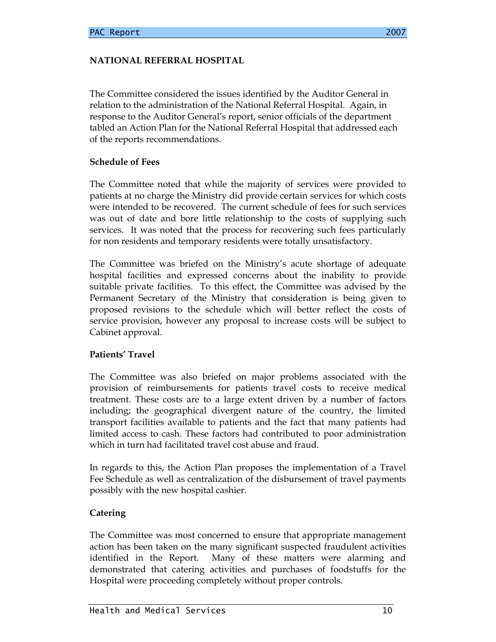### **NATIONAL REFERRAL HOSPITAL**

The Committee considered the issues identified by the Auditor General in relation to the administration of the National Referral Hospital. Again, in response to the Auditor General's report, senior officials of the department tabled an Action Plan for the National Referral Hospital that addressed each of the reports recommendations.

### **Schedule of Fees**

The Committee noted that while the majority of services were provided to patients at no charge the Ministry did provide certain services for which costs were intended to be recovered. The current schedule of fees for such services was out of date and bore little relationship to the costs of supplying such services. It was noted that the process for recovering such fees particularly for non residents and temporary residents were totally unsatisfactory.

The Committee was briefed on the Ministry's acute shortage of adequate hospital facilities and expressed concerns about the inability to provide suitable private facilities. To this effect, the Committee was advised by the Permanent Secretary of the Ministry that consideration is being given to proposed revisions to the schedule which will better reflect the costs of service provision, however any proposal to increase costs will be subject to Cabinet approval.

### **Patients' Travel**

The Committee was also briefed on major problems associated with the provision of reimbursements for patients travel costs to receive medical treatment. These costs are to a large extent driven by a number of factors including; the geographical divergent nature of the country, the limited transport facilities available to patients and the fact that many patients had limited access to cash. These factors had contributed to poor administration which in turn had facilitated travel cost abuse and fraud.

In regards to this, the Action Plan proposes the implementation of a Travel Fee Schedule as well as centralization of the disbursement of travel payments possibly with the new hospital cashier.

### **Catering**

The Committee was most concerned to ensure that appropriate management action has been taken on the many significant suspected fraudulent activities identified in the Report. Many of these matters were alarming and demonstrated that catering activities and purchases of foodstuffs for the Hospital were proceeding completely without proper controls.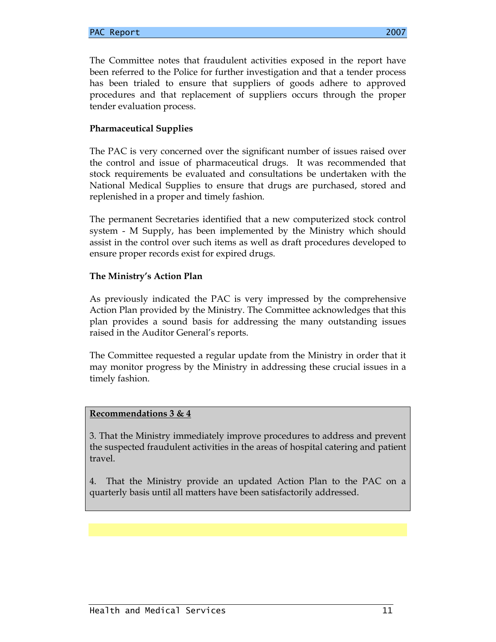The Committee notes that fraudulent activities exposed in the report have been referred to the Police for further investigation and that a tender process has been trialed to ensure that suppliers of goods adhere to approved procedures and that replacement of suppliers occurs through the proper tender evaluation process.

### **Pharmaceutical Supplies**

The PAC is very concerned over the significant number of issues raised over the control and issue of pharmaceutical drugs. It was recommended that stock requirements be evaluated and consultations be undertaken with the National Medical Supplies to ensure that drugs are purchased, stored and replenished in a proper and timely fashion.

The permanent Secretaries identified that a new computerized stock control system - M Supply, has been implemented by the Ministry which should assist in the control over such items as well as draft procedures developed to ensure proper records exist for expired drugs.

### **The Ministry's Action Plan**

As previously indicated the PAC is very impressed by the comprehensive Action Plan provided by the Ministry. The Committee acknowledges that this plan provides a sound basis for addressing the many outstanding issues raised in the Auditor General's reports.

The Committee requested a regular update from the Ministry in order that it may monitor progress by the Ministry in addressing these crucial issues in a timely fashion.

### **Recommendations 3 & 4**

3. That the Ministry immediately improve procedures to address and prevent the suspected fraudulent activities in the areas of hospital catering and patient travel.

4. That the Ministry provide an updated Action Plan to the PAC on a quarterly basis until all matters have been satisfactorily addressed.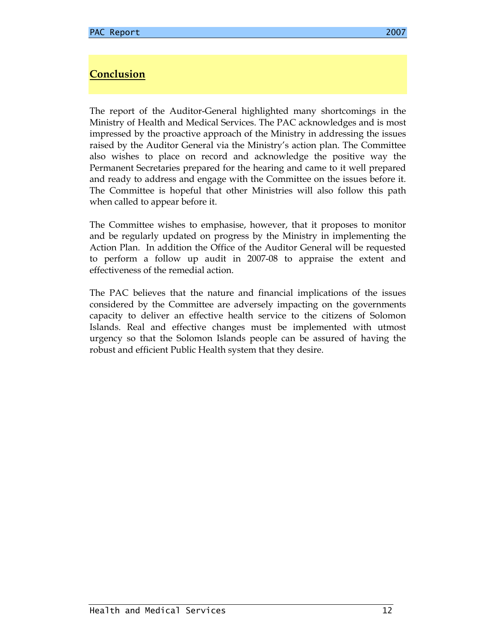### **Conclusion**

The report of the Auditor-General highlighted many shortcomings in the Ministry of Health and Medical Services. The PAC acknowledges and is most impressed by the proactive approach of the Ministry in addressing the issues raised by the Auditor General via the Ministry's action plan. The Committee also wishes to place on record and acknowledge the positive way the Permanent Secretaries prepared for the hearing and came to it well prepared and ready to address and engage with the Committee on the issues before it. The Committee is hopeful that other Ministries will also follow this path when called to appear before it.

The Committee wishes to emphasise, however, that it proposes to monitor and be regularly updated on progress by the Ministry in implementing the Action Plan. In addition the Office of the Auditor General will be requested to perform a follow up audit in 2007-08 to appraise the extent and effectiveness of the remedial action.

The PAC believes that the nature and financial implications of the issues considered by the Committee are adversely impacting on the governments capacity to deliver an effective health service to the citizens of Solomon Islands. Real and effective changes must be implemented with utmost urgency so that the Solomon Islands people can be assured of having the robust and efficient Public Health system that they desire.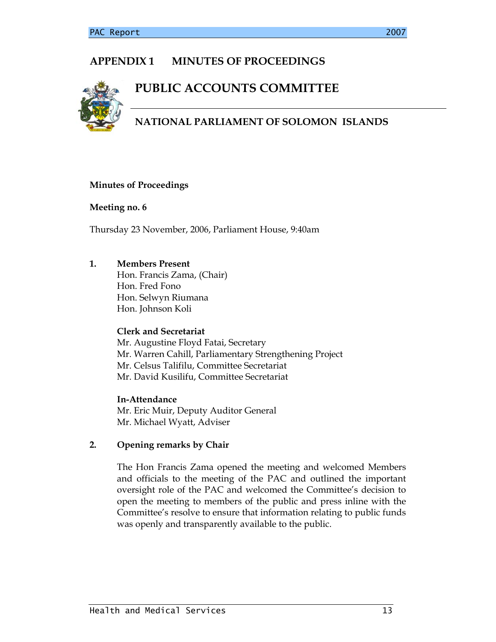## **APPENDIX 1 MINUTES OF PROCEEDINGS**

# **PUBLIC ACCOUNTS COMMITTEE**



## **NATIONAL PARLIAMENT OF SOLOMON ISLANDS**

### **Minutes of Proceedings**

### **Meeting no. 6**

Thursday 23 November, 2006, Parliament House, 9:40am

### **1. Members Present**

 Hon. Francis Zama, (Chair) Hon. Fred Fono Hon. Selwyn Riumana Hon. Johnson Koli

### **Clerk and Secretariat**

 Mr. Augustine Floyd Fatai, Secretary Mr. Warren Cahill, Parliamentary Strengthening Project Mr. Celsus Talifilu, Committee Secretariat Mr. David Kusilifu, Committee Secretariat

 **In-Attendance**  Mr. Eric Muir, Deputy Auditor General Mr. Michael Wyatt, Adviser

### **2. Opening remarks by Chair**

The Hon Francis Zama opened the meeting and welcomed Members and officials to the meeting of the PAC and outlined the important oversight role of the PAC and welcomed the Committee's decision to open the meeting to members of the public and press inline with the Committee's resolve to ensure that information relating to public funds was openly and transparently available to the public.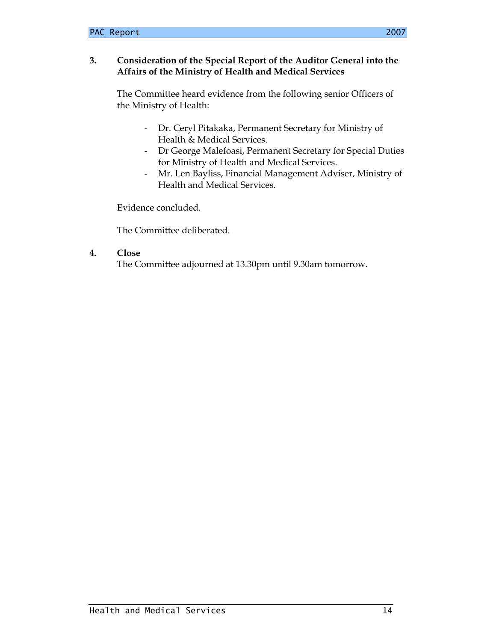### **3. Consideration of the Special Report of the Auditor General into the Affairs of the Ministry of Health and Medical Services**

The Committee heard evidence from the following senior Officers of the Ministry of Health:

- Dr. Ceryl Pitakaka, Permanent Secretary for Ministry of Health & Medical Services.
- Dr George Malefoasi, Permanent Secretary for Special Duties for Ministry of Health and Medical Services.
- Mr. Len Bayliss, Financial Management Adviser, Ministry of Health and Medical Services.

Evidence concluded.

The Committee deliberated.

### **4. Close**

The Committee adjourned at 13.30pm until 9.30am tomorrow.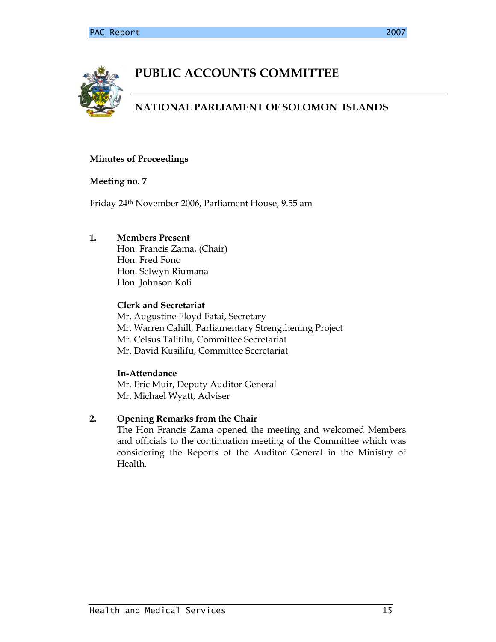

# **PUBLIC ACCOUNTS COMMITTEE**

## **NATIONAL PARLIAMENT OF SOLOMON ISLANDS**

### **Minutes of Proceedings**

### **Meeting no. 7**

Friday 24th November 2006, Parliament House, 9.55 am

### **1. Members Present**

 Hon. Francis Zama, (Chair) Hon. Fred Fono Hon. Selwyn Riumana Hon. Johnson Koli

### **Clerk and Secretariat**

 Mr. Augustine Floyd Fatai, Secretary Mr. Warren Cahill, Parliamentary Strengthening Project Mr. Celsus Talifilu, Committee Secretariat Mr. David Kusilifu, Committee Secretariat

### **In-Attendance**

 Mr. Eric Muir, Deputy Auditor General Mr. Michael Wyatt, Adviser

### **2. Opening Remarks from the Chair**

The Hon Francis Zama opened the meeting and welcomed Members and officials to the continuation meeting of the Committee which was considering the Reports of the Auditor General in the Ministry of Health.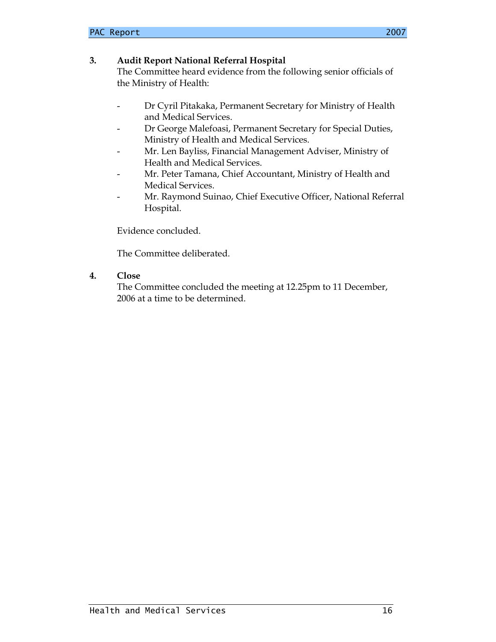The Committee heard evidence from the following senior officials of the Ministry of Health:

- Dr Cyril Pitakaka, Permanent Secretary for Ministry of Health and Medical Services.
- Dr George Malefoasi, Permanent Secretary for Special Duties, Ministry of Health and Medical Services.
- Mr. Len Bayliss, Financial Management Adviser, Ministry of Health and Medical Services.
- Mr. Peter Tamana, Chief Accountant, Ministry of Health and Medical Services.
- Mr. Raymond Suinao, Chief Executive Officer, National Referral Hospital.

Evidence concluded.

The Committee deliberated.

### **4. Close**

The Committee concluded the meeting at 12.25pm to 11 December, 2006 at a time to be determined.